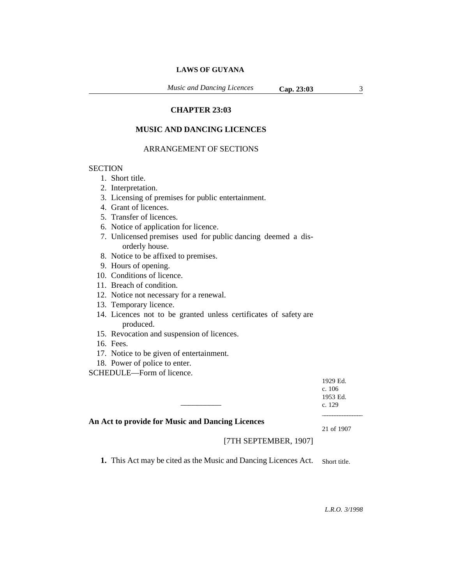*Music and Dancing Licences* **Cap. 23:03** 3

# **CHAPTER 23:03**

# **MUSIC AND DANCING LICENCES**

## ARRANGEMENT OF SECTIONS

### **SECTION**

- 1. Short title.
- 2. Interpretation.
- 3. Licensing of premises for public entertainment.
- 4. Grant of licences.
- 5. Transfer of licences.
- 6. Notice of application for licence.
- 7. Unlicensed premises used for public dancing deemed a disorderly house.
- 8. Notice to be affixed to premises.
- 9. Hours of opening.
- 10. Conditions of licence.
- 11. Breach of condition.
- 12. Notice not necessary for a renewal.
- 13. Temporary licence.
- 14. Licences not to be granted unless certificates of safety are produced.

\_\_\_\_\_\_\_\_\_\_

- 15. Revocation and suspension of licences.
- 16. Fees.
- 17. Notice to be given of entertainment.
- 18. Power of police to enter.

SCHEDULE—Form of licence.

1929 Ed. c. 106 1953 Ed. c. 129 \_\_\_\_\_\_\_\_\_\_\_\_\_\_\_\_

## **An Act to provide for Music and Dancing Licences**

21 of 1907

[7TH SEPTEMBER, 1907]

**1.** This Act may be cited as the Music and Dancing Licences Act. Short title.

*L.R.O. 3/1998*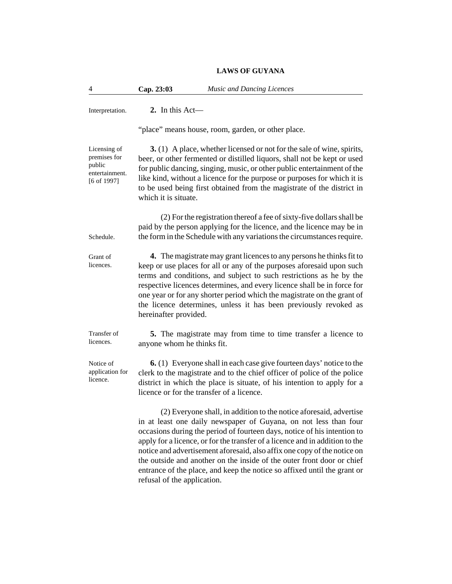| 4                                                                         | Cap. 23:03                  | <b>Music and Dancing Licences</b>                                                                                                                                                                                                                                                                                                                                                                                                                                                                                                    |
|---------------------------------------------------------------------------|-----------------------------|--------------------------------------------------------------------------------------------------------------------------------------------------------------------------------------------------------------------------------------------------------------------------------------------------------------------------------------------------------------------------------------------------------------------------------------------------------------------------------------------------------------------------------------|
| Interpretation.                                                           | 2. In this Act-             |                                                                                                                                                                                                                                                                                                                                                                                                                                                                                                                                      |
|                                                                           |                             | "place" means house, room, garden, or other place.                                                                                                                                                                                                                                                                                                                                                                                                                                                                                   |
| Licensing of<br>premises for<br>public<br>entertainment.<br>$[6$ of 1997] | which it is situate.        | 3. (1) A place, whether licensed or not for the sale of wine, spirits,<br>beer, or other fermented or distilled liquors, shall not be kept or used<br>for public dancing, singing, music, or other public entertainment of the<br>like kind, without a licence for the purpose or purposes for which it is<br>to be used being first obtained from the magistrate of the district in                                                                                                                                                 |
| Schedule.                                                                 |                             | (2) For the registration thereof a fee of sixty-five dollars shall be<br>paid by the person applying for the licence, and the licence may be in<br>the form in the Schedule with any variations the circumstances require.                                                                                                                                                                                                                                                                                                           |
| Grant of<br>licences.                                                     | hereinafter provided.       | 4. The magistrate may grant licences to any persons he thinks fit to<br>keep or use places for all or any of the purposes aforesaid upon such<br>terms and conditions, and subject to such restrictions as he by the<br>respective licences determines, and every licence shall be in force for<br>one year or for any shorter period which the magistrate on the grant of<br>the licence determines, unless it has been previously revoked as                                                                                       |
| Transfer of<br>licences.                                                  | anyone whom he thinks fit.  | 5. The magistrate may from time to time transfer a licence to                                                                                                                                                                                                                                                                                                                                                                                                                                                                        |
| Notice of<br>application for<br>licence.                                  |                             | <b>6.</b> (1) Everyone shall in each case give fourteen days' notice to the<br>clerk to the magistrate and to the chief officer of police of the police<br>district in which the place is situate, of his intention to apply for a<br>licence or for the transfer of a licence.                                                                                                                                                                                                                                                      |
|                                                                           | refusal of the application. | (2) Everyone shall, in addition to the notice aforesaid, advertise<br>in at least one daily newspaper of Guyana, on not less than four<br>occasions during the period of fourteen days, notice of his intention to<br>apply for a licence, or for the transfer of a licence and in addition to the<br>notice and advertisement aforesaid, also affix one copy of the notice on<br>the outside and another on the inside of the outer front door or chief<br>entrance of the place, and keep the notice so affixed until the grant or |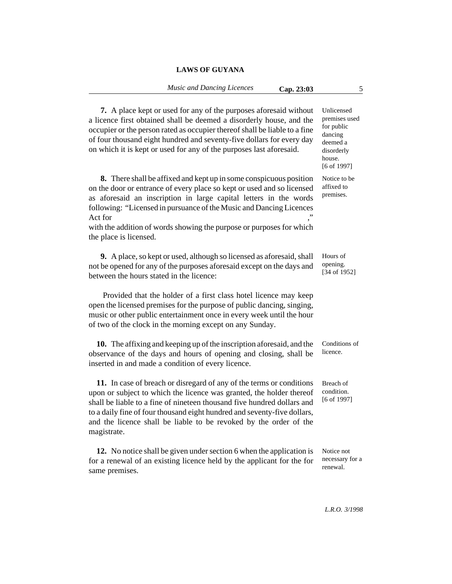|                                                                                                                                                                                                                                                                                                                                 | <b>Music and Dancing Licences</b>                                     | Cap. 23:03 | 5                                                                                                         |
|---------------------------------------------------------------------------------------------------------------------------------------------------------------------------------------------------------------------------------------------------------------------------------------------------------------------------------|-----------------------------------------------------------------------|------------|-----------------------------------------------------------------------------------------------------------|
| a licence first obtained shall be deemed a disorderly house, and the<br>occupier or the person rated as occupier thereof shall be liable to a fine<br>of four thousand eight hundred and seventy-five dollars for every day<br>on which it is kept or used for any of the purposes last aforesaid.                              | 7. A place kept or used for any of the purposes aforesaid without     |            | Unlicensed<br>premises used<br>for public<br>dancing<br>deemed a<br>disorderly<br>house.<br>$[6$ of 1997] |
| on the door or entrance of every place so kept or used and so licensed<br>as aforesaid an inscription in large capital letters in the words<br>following: "Licensed in pursuance of the Music and Dancing Licences<br>Act for<br>with the addition of words showing the purpose or purposes for which<br>the place is licensed. | 8. There shall be affixed and kept up in some conspicuous position    |            | Notice to be<br>affixed to<br>premises.                                                                   |
| not be opened for any of the purposes aforesaid except on the days and<br>between the hours stated in the licence:                                                                                                                                                                                                              | 9. A place, so kept or used, although so licensed as aforesaid, shall |            | Hours of<br>opening.<br>[34 of 1952]                                                                      |
| open the licensed premises for the purpose of public dancing, singing,<br>music or other public entertainment once in every week until the hour<br>of two of the clock in the morning except on any Sunday.                                                                                                                     | Provided that the holder of a first class hotel licence may keep      |            |                                                                                                           |
| observance of the days and hours of opening and closing, shall be<br>inserted in and made a condition of every licence.                                                                                                                                                                                                         | 10. The affixing and keeping up of the inscription aforesaid, and the |            | Conditions of<br>licence.                                                                                 |
| upon or subject to which the licence was granted, the holder thereof<br>shall be liable to a fine of nineteen thousand five hundred dollars and<br>to a daily fine of four thousand eight hundred and seventy-five dollars,<br>and the licence shall be liable to be revoked by the order of the<br>magistrate.                 | 11. In case of breach or disregard of any of the terms or conditions  |            | Breach of<br>condition.<br>$[6$ of 1997]                                                                  |
| for a renewal of an existing licence held by the applicant for the for<br>same premises.                                                                                                                                                                                                                                        | 12. No notice shall be given under section 6 when the application is  |            | Notice not<br>necessary for a<br>renewal.                                                                 |
|                                                                                                                                                                                                                                                                                                                                 |                                                                       |            |                                                                                                           |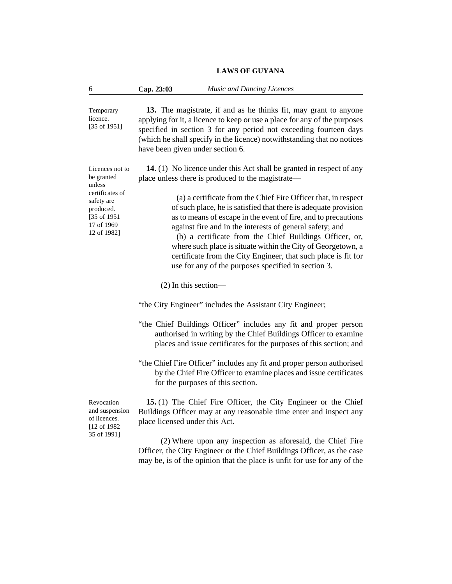| 6                                                                                                                                 | Cap. 23:03                                                                                                                                                                                                                                                                                                                        | <b>Music and Dancing Licences</b>                                                                                                                                                                                                                                                                                                                                                                                                                                                                                                                                                                                                                |  |
|-----------------------------------------------------------------------------------------------------------------------------------|-----------------------------------------------------------------------------------------------------------------------------------------------------------------------------------------------------------------------------------------------------------------------------------------------------------------------------------|--------------------------------------------------------------------------------------------------------------------------------------------------------------------------------------------------------------------------------------------------------------------------------------------------------------------------------------------------------------------------------------------------------------------------------------------------------------------------------------------------------------------------------------------------------------------------------------------------------------------------------------------------|--|
| Temporary<br>licence.<br>$[35$ of 1951]                                                                                           | 13. The magistrate, if and as he thinks fit, may grant to anyone<br>applying for it, a licence to keep or use a place for any of the purposes<br>specified in section 3 for any period not exceeding fourteen days<br>(which he shall specify in the licence) notwithstanding that no notices<br>have been given under section 6. |                                                                                                                                                                                                                                                                                                                                                                                                                                                                                                                                                                                                                                                  |  |
| Licences not to<br>be granted<br>unless<br>certificates of<br>safety are<br>produced.<br>[35 of 1951<br>17 of 1969<br>12 of 1982] |                                                                                                                                                                                                                                                                                                                                   | 14. (1) No licence under this Act shall be granted in respect of any<br>place unless there is produced to the magistrate—<br>(a) a certificate from the Chief Fire Officer that, in respect<br>of such place, he is satisfied that there is adequate provision<br>as to means of escape in the event of fire, and to precautions<br>against fire and in the interests of general safety; and<br>(b) a certificate from the Chief Buildings Officer, or,<br>where such place is situate within the City of Georgetown, a<br>certificate from the City Engineer, that such place is fit for<br>use for any of the purposes specified in section 3. |  |
|                                                                                                                                   | $(2)$ In this section-                                                                                                                                                                                                                                                                                                            |                                                                                                                                                                                                                                                                                                                                                                                                                                                                                                                                                                                                                                                  |  |
|                                                                                                                                   |                                                                                                                                                                                                                                                                                                                                   | "the City Engineer" includes the Assistant City Engineer;                                                                                                                                                                                                                                                                                                                                                                                                                                                                                                                                                                                        |  |
|                                                                                                                                   |                                                                                                                                                                                                                                                                                                                                   | "the Chief Buildings Officer" includes any fit and proper person<br>authorised in writing by the Chief Buildings Officer to examine<br>places and issue certificates for the purposes of this section; and                                                                                                                                                                                                                                                                                                                                                                                                                                       |  |
|                                                                                                                                   | "the Chief Fire Officer" includes any fit and proper person authorised<br>by the Chief Fire Officer to examine places and issue certificates<br>for the purposes of this section.                                                                                                                                                 |                                                                                                                                                                                                                                                                                                                                                                                                                                                                                                                                                                                                                                                  |  |
| Revocation<br>and suspension<br>of licences.<br>[12 of 1982]<br>35 of 1991]                                                       | 15. (1) The Chief Fire Officer, the City Engineer or the Chief<br>Buildings Officer may at any reasonable time enter and inspect any<br>place licensed under this Act.                                                                                                                                                            |                                                                                                                                                                                                                                                                                                                                                                                                                                                                                                                                                                                                                                                  |  |

(2) Where upon any inspection as aforesaid, the Chief Fire Officer, the City Engineer or the Chief Buildings Officer, as the case may be, is of the opinion that the place is unfit for use for any of the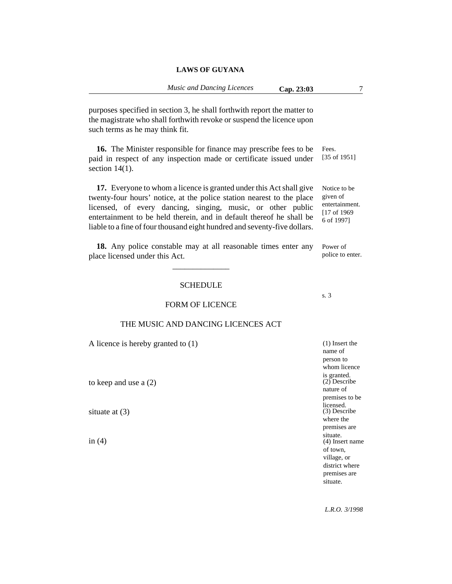purposes specified in section 3, he shall forthwith report the matter to the magistrate who shall forthwith revoke or suspend the licence upon such terms as he may think fit.

**16.** The Minister responsible for finance may prescribe fees to be paid in respect of any inspection made or certificate issued under section 14(1). Fees.

**17.** Everyone to whom a licence is granted under this Act shall give twenty-four hours' notice, at the police station nearest to the place licensed, of every dancing, singing, music, or other public entertainment to be held therein, and in default thereof he shall be liable to a fine of four thousand eight hundred and seventy-five dollars.

**18.** Any police constable may at all reasonable times enter any place licensed under this Act.

### **SCHEDULE**

\_\_\_\_\_\_\_\_\_\_\_\_\_\_

## FORM OF LICENCE

### THE MUSIC AND DANCING LICENCES ACT

A licence is hereby granted to (1)

to keep and use a (2)

situate at (3)

in  $(4)$ 

[35 of 1951]

Notice to be given of entertainment. [17 of 1969] 6 of 1997]

Power of police to enter.

s. 3

(1) Insert the name of person to whom licence is granted. (2) Describe nature of premises to be licensed. (3) Describe where the premises are situate. (4) Insert name of town, village, or district where premises are situate.

*L.R.O. 3/1998*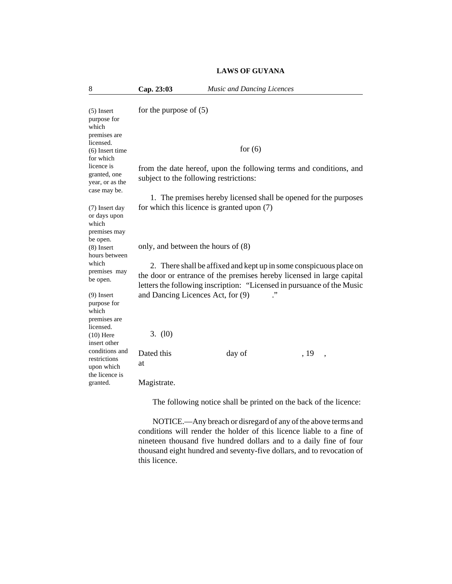| <b>LAWS OF GUYANA</b> |  |  |
|-----------------------|--|--|
|-----------------------|--|--|

| 8                                                                                                | Cap. 23:03                                   | <b>Music and Dancing Licences</b>          |                                                                                                                                             |
|--------------------------------------------------------------------------------------------------|----------------------------------------------|--------------------------------------------|---------------------------------------------------------------------------------------------------------------------------------------------|
| $(5)$ Insert<br>purpose for<br>which<br>premises are                                             | for the purpose of $(5)$                     |                                            |                                                                                                                                             |
| licensed.<br>$(6)$ Insert time<br>for which                                                      |                                              | for $(6)$                                  |                                                                                                                                             |
| licence is<br>granted, one<br>year, or as the<br>case may be.                                    | subject to the following restrictions:       |                                            | from the date hereof, upon the following terms and conditions, and                                                                          |
| (7) Insert day<br>or days upon<br>which<br>premises may                                          |                                              | for which this licence is granted upon (7) | 1. The premises hereby licensed shall be opened for the purposes                                                                            |
| be open.<br>$(8)$ Insert<br>hours between<br>which<br>premises may<br>be open.                   | only, and between the hours of (8)           |                                            | 2. There shall be affixed and kept up in some conspicuous place on<br>the door or entrance of the premises hereby licensed in large capital |
| $(9)$ Insert<br>purpose for<br>which<br>premises are<br>licensed.<br>$(10)$ Here<br>insert other | and Dancing Licences Act, for (9)<br>3. (10) |                                            | letters the following inscription: "Licensed in pursuance of the Music                                                                      |
| conditions and<br>restrictions<br>upon which                                                     | Dated this<br>at                             | day of                                     | , 19                                                                                                                                        |
| the licence is<br>granted.                                                                       | Magistrate.                                  |                                            |                                                                                                                                             |

The following notice shall be printed on the back of the licence:

NOTICE.—Any breach or disregard of any of the above terms and conditions will render the holder of this licence liable to a fine of nineteen thousand five hundred dollars and to a daily fine of four thousand eight hundred and seventy-five dollars, and to revocation of this licence.